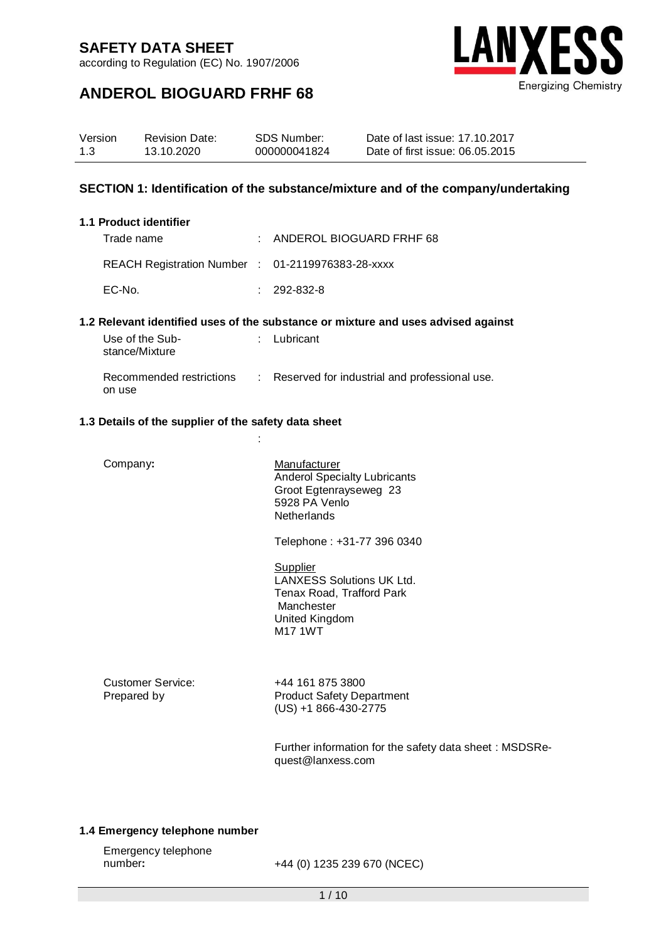according to Regulation (EC) No. 1907/2006



## **ANDEROL BIOGUARD FRHF 68**

| Version | <b>Revision Date:</b> | SDS Number:  | Date of last issue: 17.10.2017  |
|---------|-----------------------|--------------|---------------------------------|
| 1.3     | 13.10.2020            | 000000041824 | Date of first issue: 06.05.2015 |

#### **SECTION 1: Identification of the substance/mixture and of the company/undertaking**

#### **1.1 Product identifier**

| Trade name                                        | : ANDEROL BIOGUARD FRHF 68 |
|---------------------------------------------------|----------------------------|
| REACH Registration Number : 01-2119976383-28-xxxx |                            |
| EC-No.                                            | $: 292-832-8$              |

#### **1.2 Relevant identified uses of the substance or mixture and uses advised against**

| Use of the Sub-<br>stance/Mixture  | $:$ Lubricant                                 |
|------------------------------------|-----------------------------------------------|
| Recommended restrictions<br>on use | Reserved for industrial and professional use. |

### **1.3 Details of the supplier of the safety data sheet**

:

| Company:                         | Manufacturer<br><b>Anderol Specialty Lubricants</b><br>Groot Egtenrayseweg 23<br>5928 PA Venlo<br><b>Netherlands</b>        |
|----------------------------------|-----------------------------------------------------------------------------------------------------------------------------|
|                                  | Telephone: +31-77 396 0340                                                                                                  |
|                                  | Supplier<br><b>LANXESS Solutions UK Ltd.</b><br>Tenax Road, Trafford Park<br>Manchester<br>United Kingdom<br><b>M17 1WT</b> |
| Customer Service:<br>Prepared by | +44 161 875 3800<br><b>Product Safety Department</b><br>$(US) + 1866 - 430 - 2775$                                          |
|                                  | Further information for the safety data sheet: MSDSRe-                                                                      |

#### **1.4 Emergency telephone number**

| Emergency telephone |                             |
|---------------------|-----------------------------|
| number:             | +44 (0) 1235 239 670 (NCEC) |

quest@lanxess.com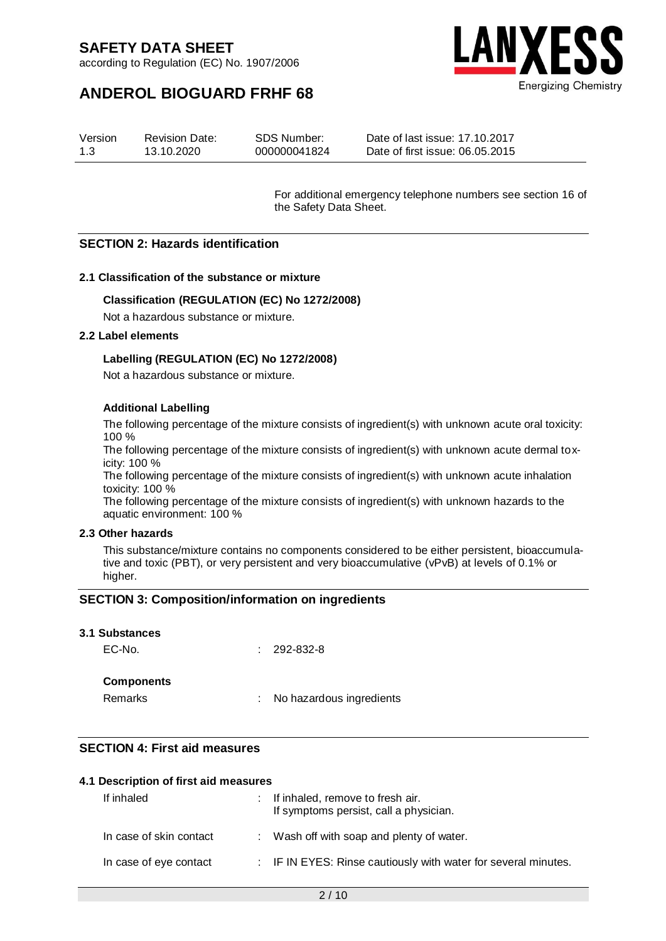according to Regulation (EC) No. 1907/2006





#### Version 1.3 Revision Date: 13.10.2020 SDS Number: 000000041824 Date of last issue: 17.10.2017 Date of first issue: 06.05.2015

For additional emergency telephone numbers see section 16 of the Safety Data Sheet.

#### **SECTION 2: Hazards identification**

#### **2.1 Classification of the substance or mixture**

#### **Classification (REGULATION (EC) No 1272/2008)**

Not a hazardous substance or mixture.

#### **2.2 Label elements**

#### **Labelling (REGULATION (EC) No 1272/2008)**

Not a hazardous substance or mixture.

#### **Additional Labelling**

The following percentage of the mixture consists of ingredient(s) with unknown acute oral toxicity: 100 %

The following percentage of the mixture consists of ingredient(s) with unknown acute dermal toxicity: 100 %

The following percentage of the mixture consists of ingredient(s) with unknown acute inhalation toxicity: 100 %

The following percentage of the mixture consists of ingredient(s) with unknown hazards to the aquatic environment: 100 %

#### **2.3 Other hazards**

This substance/mixture contains no components considered to be either persistent, bioaccumulative and toxic (PBT), or very persistent and very bioaccumulative (vPvB) at levels of 0.1% or higher.

#### **SECTION 3: Composition/information on ingredients**

|  | <b>3.1 Substances</b> |  |
|--|-----------------------|--|
|--|-----------------------|--|

EC-No. : 292-832-8

#### **Components**

Remarks : No hazardous ingredients

#### **SECTION 4: First aid measures**

#### **4.1 Description of first aid measures**

| If inhaled              | : If inhaled, remove to fresh air.<br>If symptoms persist, call a physician. |
|-------------------------|------------------------------------------------------------------------------|
| In case of skin contact | : Wash off with soap and plenty of water.                                    |
| In case of eye contact  | : IF IN EYES: Rinse cautiously with water for several minutes.               |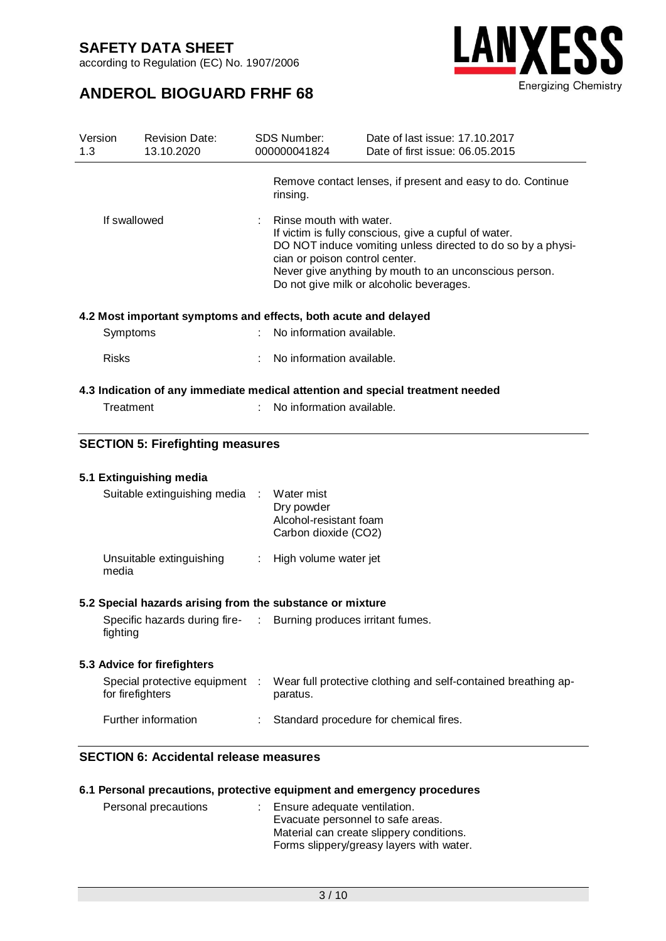according to Regulation (EC) No. 1907/2006

## **ANDEROL BIOGUARD FRHF 68**



| <b>SECTION 5: Firefighting measures</b>          | rinsing.<br>Rinse mouth with water.<br>cian or poison control center.<br>4.2 Most important symptoms and effects, both acute and delayed<br>No information available.<br>No information available.<br>No information available. | Remove contact lenses, if present and easy to do. Continue<br>If victim is fully conscious, give a cupful of water.<br>DO NOT induce vomiting unless directed to do so by a physi-<br>Never give anything by mouth to an unconscious person.<br>Do not give milk or alcoholic beverages.<br>4.3 Indication of any immediate medical attention and special treatment needed |
|--------------------------------------------------|---------------------------------------------------------------------------------------------------------------------------------------------------------------------------------------------------------------------------------|----------------------------------------------------------------------------------------------------------------------------------------------------------------------------------------------------------------------------------------------------------------------------------------------------------------------------------------------------------------------------|
|                                                  |                                                                                                                                                                                                                                 |                                                                                                                                                                                                                                                                                                                                                                            |
|                                                  |                                                                                                                                                                                                                                 |                                                                                                                                                                                                                                                                                                                                                                            |
|                                                  |                                                                                                                                                                                                                                 |                                                                                                                                                                                                                                                                                                                                                                            |
|                                                  |                                                                                                                                                                                                                                 |                                                                                                                                                                                                                                                                                                                                                                            |
|                                                  |                                                                                                                                                                                                                                 |                                                                                                                                                                                                                                                                                                                                                                            |
|                                                  |                                                                                                                                                                                                                                 |                                                                                                                                                                                                                                                                                                                                                                            |
|                                                  |                                                                                                                                                                                                                                 |                                                                                                                                                                                                                                                                                                                                                                            |
|                                                  |                                                                                                                                                                                                                                 |                                                                                                                                                                                                                                                                                                                                                                            |
| 5.1 Extinguishing media                          |                                                                                                                                                                                                                                 |                                                                                                                                                                                                                                                                                                                                                                            |
| Suitable extinguishing media                     | Water mist<br>$\sim$<br>Dry powder<br>Alcohol-resistant foam<br>Carbon dioxide (CO2)                                                                                                                                            |                                                                                                                                                                                                                                                                                                                                                                            |
| Unsuitable extinguishing                         | : High volume water jet                                                                                                                                                                                                         |                                                                                                                                                                                                                                                                                                                                                                            |
|                                                  |                                                                                                                                                                                                                                 |                                                                                                                                                                                                                                                                                                                                                                            |
|                                                  |                                                                                                                                                                                                                                 |                                                                                                                                                                                                                                                                                                                                                                            |
| 5.3 Advice for firefighters                      |                                                                                                                                                                                                                                 |                                                                                                                                                                                                                                                                                                                                                                            |
| Special protective equipment<br>for firefighters | paratus.                                                                                                                                                                                                                        | Wear full protective clothing and self-contained breathing ap-                                                                                                                                                                                                                                                                                                             |
|                                                  |                                                                                                                                                                                                                                 | Standard procedure for chemical fires.                                                                                                                                                                                                                                                                                                                                     |
|                                                  | Further information                                                                                                                                                                                                             | 5.2 Special hazards arising from the substance or mixture<br>Specific hazards during fire- : Burning produces irritant fumes.<br>- 1                                                                                                                                                                                                                                       |

## **6.1 Personal precautions, protective equipment and emergency procedures**

| Personal precautions | : Ensure adequate ventilation.<br>Evacuate personnel to safe areas.<br>Material can create slippery conditions.<br>Forms slippery/greasy layers with water. |
|----------------------|-------------------------------------------------------------------------------------------------------------------------------------------------------------|
|                      |                                                                                                                                                             |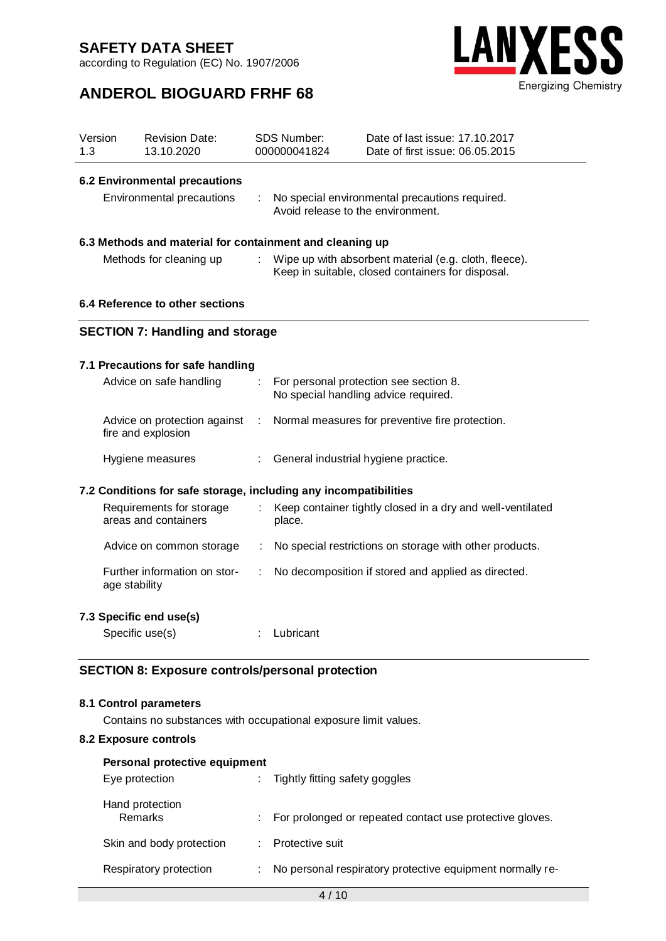according to Regulation (EC) No. 1907/2006

## **ANDEROL BIOGUARD FRHF 68**



| Version<br>1.3                         |                                                                                           | <b>Revision Date:</b><br>13.10.2020                |                                                                                                            | <b>SDS Number:</b><br>000000041824                                                  | Date of last issue: 17.10.2017<br>Date of first issue: 06.05.2015              |  |  |
|----------------------------------------|-------------------------------------------------------------------------------------------|----------------------------------------------------|------------------------------------------------------------------------------------------------------------|-------------------------------------------------------------------------------------|--------------------------------------------------------------------------------|--|--|
|                                        |                                                                                           | <b>6.2 Environmental precautions</b>               |                                                                                                            |                                                                                     |                                                                                |  |  |
| Environmental precautions              |                                                                                           |                                                    |                                                                                                            | No special environmental precautions required.<br>Avoid release to the environment. |                                                                                |  |  |
|                                        | 6.3 Methods and material for containment and cleaning up                                  |                                                    |                                                                                                            |                                                                                     |                                                                                |  |  |
| Methods for cleaning up                |                                                                                           | ÷                                                  | Wipe up with absorbent material (e.g. cloth, fleece).<br>Keep in suitable, closed containers for disposal. |                                                                                     |                                                                                |  |  |
|                                        | 6.4 Reference to other sections                                                           |                                                    |                                                                                                            |                                                                                     |                                                                                |  |  |
| <b>SECTION 7: Handling and storage</b> |                                                                                           |                                                    |                                                                                                            |                                                                                     |                                                                                |  |  |
|                                        |                                                                                           | 7.1 Precautions for safe handling                  |                                                                                                            |                                                                                     |                                                                                |  |  |
|                                        |                                                                                           | Advice on safe handling                            | ÷                                                                                                          |                                                                                     | For personal protection see section 8.<br>No special handling advice required. |  |  |
|                                        |                                                                                           | Advice on protection against<br>fire and explosion | ÷                                                                                                          |                                                                                     | Normal measures for preventive fire protection.                                |  |  |
|                                        |                                                                                           | Hygiene measures                                   |                                                                                                            | General industrial hygiene practice.                                                |                                                                                |  |  |
|                                        | 7.2 Conditions for safe storage, including any incompatibilities                          |                                                    |                                                                                                            |                                                                                     |                                                                                |  |  |
|                                        |                                                                                           | Requirements for storage<br>areas and containers   | ÷.                                                                                                         | place.                                                                              | Keep container tightly closed in a dry and well-ventilated                     |  |  |
|                                        |                                                                                           | Advice on common storage                           | ÷                                                                                                          |                                                                                     | No special restrictions on storage with other products.                        |  |  |
|                                        | age stability                                                                             | Further information on stor-                       | ÷                                                                                                          |                                                                                     | No decomposition if stored and applied as directed.                            |  |  |
|                                        |                                                                                           | 7.3 Specific end use(s)                            |                                                                                                            |                                                                                     |                                                                                |  |  |
|                                        |                                                                                           | Specific use(s)                                    |                                                                                                            | Lubricant                                                                           |                                                                                |  |  |
|                                        | <b>SECTION 8: Exposure controls/personal protection</b>                                   |                                                    |                                                                                                            |                                                                                     |                                                                                |  |  |
|                                        | 8.1 Control parameters<br>Contains no substances with occupational exposure limit values. |                                                    |                                                                                                            |                                                                                     |                                                                                |  |  |

#### **8.2 Exposure controls**

| Personal protective equipment |  |                                                           |  |  |  |
|-------------------------------|--|-----------------------------------------------------------|--|--|--|
| Eye protection                |  | Tightly fitting safety goggles                            |  |  |  |
| Hand protection<br>Remarks    |  | For prolonged or repeated contact use protective gloves.  |  |  |  |
| Skin and body protection      |  | Protective suit                                           |  |  |  |
| Respiratory protection        |  | No personal respiratory protective equipment normally re- |  |  |  |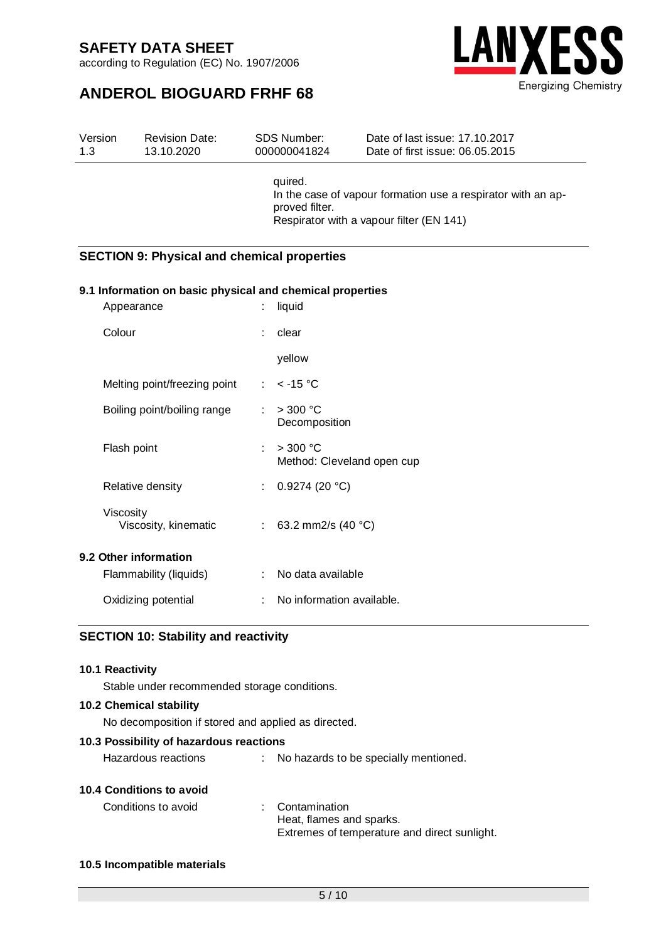according to Regulation (EC) No. 1907/2006

# **ANDEROL BIOGUARD FRHF 68**



| Version | <b>Revision Date:</b> | SDS Number:               | Date of last issue: 17.10.2017                                                                           |
|---------|-----------------------|---------------------------|----------------------------------------------------------------------------------------------------------|
| 1.3     | 13.10.2020            | 000000041824              | Date of first issue: 06.05.2015                                                                          |
|         |                       | quired.<br>proved filter. | In the case of vapour formation use a respirator with an ap-<br>Respirator with a vapour filter (EN 141) |

#### **SECTION 9: Physical and chemical properties**

#### **9.1 Information on basic physical and chemical properties**

| Appearance                        | liquid<br>÷                                    |
|-----------------------------------|------------------------------------------------|
| Colour                            | clear                                          |
|                                   | yellow                                         |
| Melting point/freezing point      | : $<$ -15 °C                                   |
| Boiling point/boiling range       | : $>300 °C$<br>Decomposition                   |
| Flash point                       | $>$ 300 °C<br>t.<br>Method: Cleveland open cup |
| Relative density                  | : $0.9274(20 °C)$                              |
| Viscosity<br>Viscosity, kinematic | : 63.2 mm2/s (40 $^{\circ}$ C)                 |
| 9.2 Other information             |                                                |
| Flammability (liquids)            | No data available                              |
| Oxidizing potential               | No information available.                      |

#### **SECTION 10: Stability and reactivity**

#### **10.1 Reactivity**

Stable under recommended storage conditions.

#### **10.2 Chemical stability**

No decomposition if stored and applied as directed.

#### **10.3 Possibility of hazardous reactions**

Hazardous reactions : No hazards to be specially mentioned.

#### **10.4 Conditions to avoid**

| Conditions to avoid | : Contamination                              |
|---------------------|----------------------------------------------|
|                     | Heat, flames and sparks.                     |
|                     | Extremes of temperature and direct sunlight. |

#### **10.5 Incompatible materials**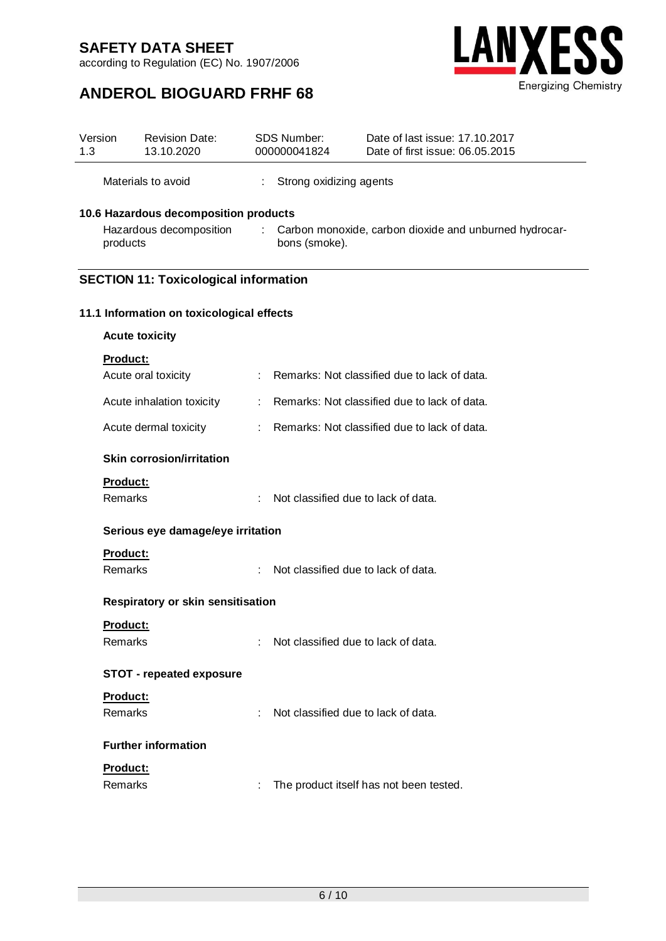according to Regulation (EC) No. 1907/2006



## **ANDEROL BIOGUARD FRHF 68**

| Version<br>1.3 |                                   | <b>Revision Date:</b><br>13.10.2020                              |                                                                              | SDS Number:<br>000000041824                  | Date of last issue: 17.10.2017<br>Date of first issue: 06.05.2015 |  |  |
|----------------|-----------------------------------|------------------------------------------------------------------|------------------------------------------------------------------------------|----------------------------------------------|-------------------------------------------------------------------|--|--|
|                |                                   | Materials to avoid                                               |                                                                              | Strong oxidizing agents                      |                                                                   |  |  |
|                | products                          | 10.6 Hazardous decomposition products<br>Hazardous decomposition | ÷<br>Carbon monoxide, carbon dioxide and unburned hydrocar-<br>bons (smoke). |                                              |                                                                   |  |  |
|                |                                   | <b>SECTION 11: Toxicological information</b>                     |                                                                              |                                              |                                                                   |  |  |
|                |                                   | 11.1 Information on toxicological effects                        |                                                                              |                                              |                                                                   |  |  |
|                |                                   | <b>Acute toxicity</b>                                            |                                                                              |                                              |                                                                   |  |  |
|                | <b>Product:</b>                   |                                                                  |                                                                              |                                              |                                                                   |  |  |
|                |                                   | Acute oral toxicity                                              |                                                                              |                                              | Remarks: Not classified due to lack of data.                      |  |  |
|                |                                   | Acute inhalation toxicity                                        | ÷                                                                            | Remarks: Not classified due to lack of data. |                                                                   |  |  |
|                |                                   | Acute dermal toxicity                                            |                                                                              | Remarks: Not classified due to lack of data. |                                                                   |  |  |
|                |                                   | <b>Skin corrosion/irritation</b>                                 |                                                                              |                                              |                                                                   |  |  |
|                | <b>Product:</b><br>Remarks        |                                                                  | ÷                                                                            | Not classified due to lack of data.          |                                                                   |  |  |
|                | Serious eye damage/eye irritation |                                                                  |                                                                              |                                              |                                                                   |  |  |
|                | Product:                          |                                                                  |                                                                              |                                              |                                                                   |  |  |
|                | <b>Remarks</b>                    |                                                                  |                                                                              | Not classified due to lack of data.          |                                                                   |  |  |
|                |                                   | Respiratory or skin sensitisation                                |                                                                              |                                              |                                                                   |  |  |
|                | <b>Product:</b>                   |                                                                  |                                                                              |                                              |                                                                   |  |  |
|                | Remarks                           |                                                                  |                                                                              | Not classified due to lack of data.          |                                                                   |  |  |
|                |                                   | <b>STOT - repeated exposure</b>                                  |                                                                              |                                              |                                                                   |  |  |
|                | Product:                          |                                                                  |                                                                              |                                              |                                                                   |  |  |
|                | Remarks                           |                                                                  | ÷                                                                            | Not classified due to lack of data.          |                                                                   |  |  |
|                |                                   | <b>Further information</b>                                       |                                                                              |                                              |                                                                   |  |  |
|                | Product:                          |                                                                  |                                                                              |                                              |                                                                   |  |  |
|                | Remarks                           |                                                                  |                                                                              |                                              | The product itself has not been tested.                           |  |  |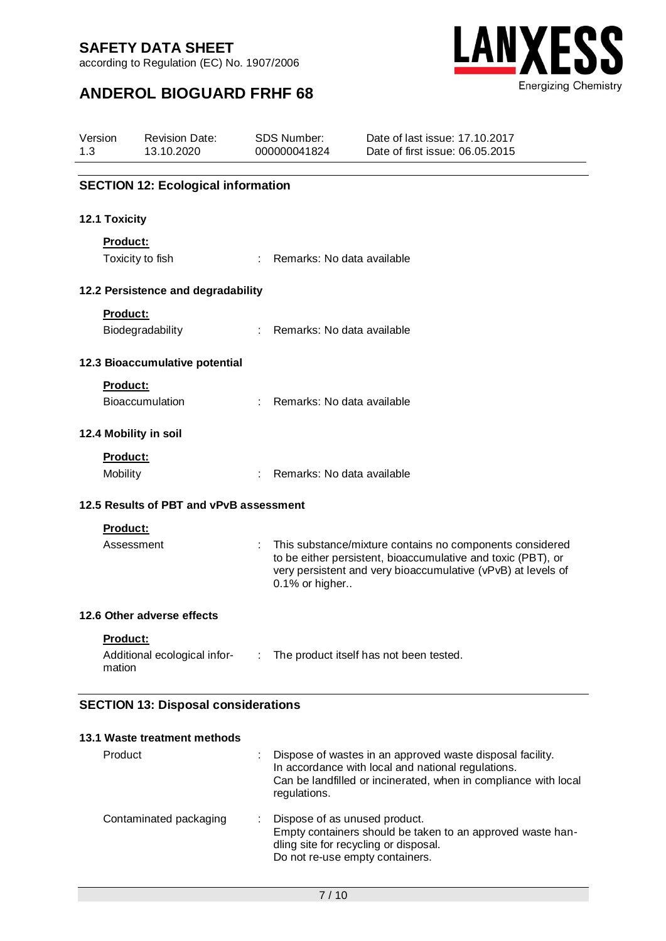according to Regulation (EC) No. 1907/2006



## **ANDEROL BIOGUARD FRHF 68**

| Version<br>1.3 |                  | <b>Revision Date:</b><br>13.10.2020                                                                                                                                                        | <b>SDS Number:</b><br>000000041824 |                            | Date of last issue: 17,10,2017<br>Date of first issue: 06.05.2015                                                                                                                        |
|----------------|------------------|--------------------------------------------------------------------------------------------------------------------------------------------------------------------------------------------|------------------------------------|----------------------------|------------------------------------------------------------------------------------------------------------------------------------------------------------------------------------------|
|                |                  | <b>SECTION 12: Ecological information</b>                                                                                                                                                  |                                    |                            |                                                                                                                                                                                          |
|                | 12.1 Toxicity    |                                                                                                                                                                                            |                                    |                            |                                                                                                                                                                                          |
|                | Product:         |                                                                                                                                                                                            |                                    |                            |                                                                                                                                                                                          |
|                | Toxicity to fish |                                                                                                                                                                                            | ÷                                  | Remarks: No data available |                                                                                                                                                                                          |
|                |                  | 12.2 Persistence and degradability                                                                                                                                                         |                                    |                            |                                                                                                                                                                                          |
|                | <b>Product:</b>  |                                                                                                                                                                                            |                                    |                            |                                                                                                                                                                                          |
|                |                  | Biodegradability                                                                                                                                                                           | ÷.                                 | Remarks: No data available |                                                                                                                                                                                          |
|                |                  | 12.3 Bioaccumulative potential                                                                                                                                                             |                                    |                            |                                                                                                                                                                                          |
|                | <b>Product:</b>  |                                                                                                                                                                                            |                                    |                            |                                                                                                                                                                                          |
|                |                  | Bioaccumulation                                                                                                                                                                            | $\mathbb{R}^{\mathbb{Z}}$          | Remarks: No data available |                                                                                                                                                                                          |
|                |                  | 12.4 Mobility in soil                                                                                                                                                                      |                                    |                            |                                                                                                                                                                                          |
|                | Product:         |                                                                                                                                                                                            |                                    |                            |                                                                                                                                                                                          |
|                | Mobility         |                                                                                                                                                                                            |                                    | Remarks: No data available |                                                                                                                                                                                          |
|                |                  | 12.5 Results of PBT and vPvB assessment                                                                                                                                                    |                                    |                            |                                                                                                                                                                                          |
|                | Product:         |                                                                                                                                                                                            |                                    |                            |                                                                                                                                                                                          |
|                | Assessment       |                                                                                                                                                                                            |                                    | 0.1% or higher             | This substance/mixture contains no components considered<br>to be either persistent, bioaccumulative and toxic (PBT), or<br>very persistent and very bioaccumulative (vPvB) at levels of |
|                |                  | 12.6 Other adverse effects                                                                                                                                                                 |                                    |                            |                                                                                                                                                                                          |
|                | Product:         |                                                                                                                                                                                            |                                    |                            |                                                                                                                                                                                          |
|                | mation           | Additional ecological infor- : The product itself has not been tested.                                                                                                                     |                                    |                            |                                                                                                                                                                                          |
|                |                  | the contract of the contract of the contract of the contract of the contract of<br>$\mathbf{1}$ $\mathbf{1}$ $\mathbf{2}$ $\mathbf{3}$ $\mathbf{3}$ $\mathbf{5}$ $\mathbf{5}$ $\mathbf{1}$ |                                    |                            |                                                                                                                                                                                          |

## **SECTION 13: Disposal considerations**

| 13.1 Waste treatment methods |                                                                                                                                                                                                    |
|------------------------------|----------------------------------------------------------------------------------------------------------------------------------------------------------------------------------------------------|
| Product                      | Dispose of wastes in an approved waste disposal facility.<br>In accordance with local and national regulations.<br>Can be landfilled or incinerated, when in compliance with local<br>regulations. |
| Contaminated packaging       | Dispose of as unused product.<br>Empty containers should be taken to an approved waste han-<br>dling site for recycling or disposal.<br>Do not re-use empty containers.                            |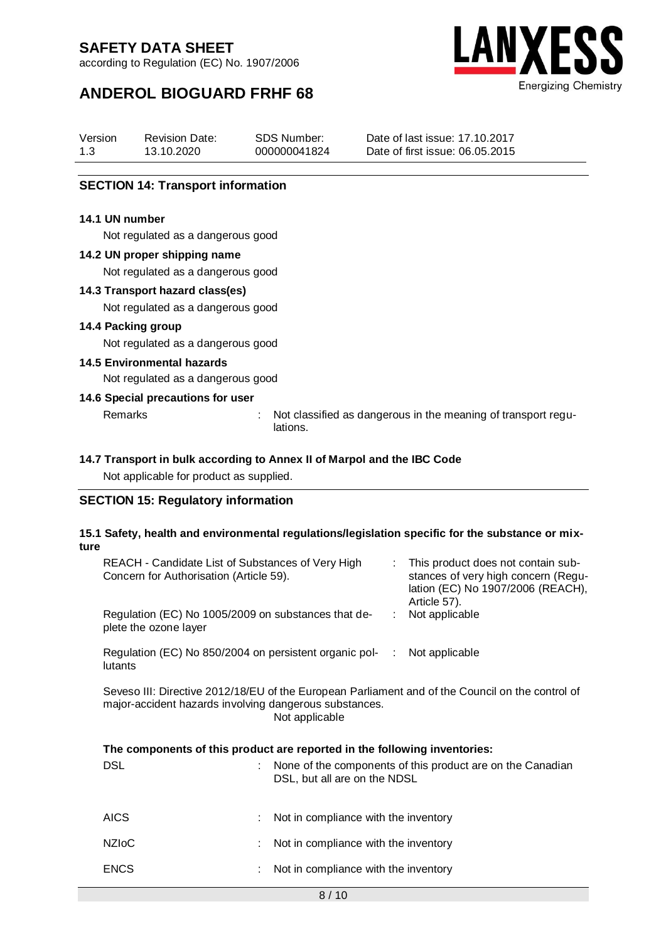according to Regulation (EC) No. 1907/2006



## **ANDEROL BIOGUARD FRHF 68**

| Version | <b>Revision Date:</b> | SDS Number:  | Date of last issue: 17,10,2017  |
|---------|-----------------------|--------------|---------------------------------|
| 1.3     | 13.10.2020            | 000000041824 | Date of first issue: 06.05.2015 |

#### **SECTION 14: Transport information**

#### **14.1 UN number**

Not regulated as a dangerous good

#### **14.2 UN proper shipping name**

Not regulated as a dangerous good

#### **14.3 Transport hazard class(es)**

Not regulated as a dangerous good

#### **14.4 Packing group**

Not regulated as a dangerous good

#### **14.5 Environmental hazards**

Not regulated as a dangerous good

#### **14.6 Special precautions for user**

Remarks : Not classified as dangerous in the meaning of transport regulations.

#### **14.7 Transport in bulk according to Annex II of Marpol and the IBC Code**

Not applicable for product as supplied.

#### **SECTION 15: Regulatory information**

#### **15.1 Safety, health and environmental regulations/legislation specific for the substance or mixture**

| REACH - Candidate List of Substances of Very High<br>Concern for Authorisation (Article 59).                                                                                 | $\mathcal{L}^{\mathcal{L}}$  | This product does not contain sub-<br>stances of very high concern (Regu-<br>lation (EC) No 1907/2006 (REACH),<br>Article 57). |                                                            |  |  |  |
|------------------------------------------------------------------------------------------------------------------------------------------------------------------------------|------------------------------|--------------------------------------------------------------------------------------------------------------------------------|------------------------------------------------------------|--|--|--|
| Regulation (EC) No 1005/2009 on substances that de-<br>plete the ozone layer                                                                                                 |                              |                                                                                                                                | Not applicable                                             |  |  |  |
| Regulation (EC) No 850/2004 on persistent organic pol-<br>lutants                                                                                                            | ÷                            | Not applicable                                                                                                                 |                                                            |  |  |  |
| Seveso III: Directive 2012/18/EU of the European Parliament and of the Council on the control of<br>major-accident hazards involving dangerous substances.<br>Not applicable |                              |                                                                                                                                |                                                            |  |  |  |
| The components of this product are reported in the following inventories:                                                                                                    |                              |                                                                                                                                |                                                            |  |  |  |
| <b>DSL</b>                                                                                                                                                                   | DSL, but all are on the NDSL |                                                                                                                                | None of the components of this product are on the Canadian |  |  |  |

| AICS | Not in compliance with the inventory |
|------|--------------------------------------|
|      |                                      |

- NZIoC : Not in compliance with the inventory
- ENCS : Not in compliance with the inventory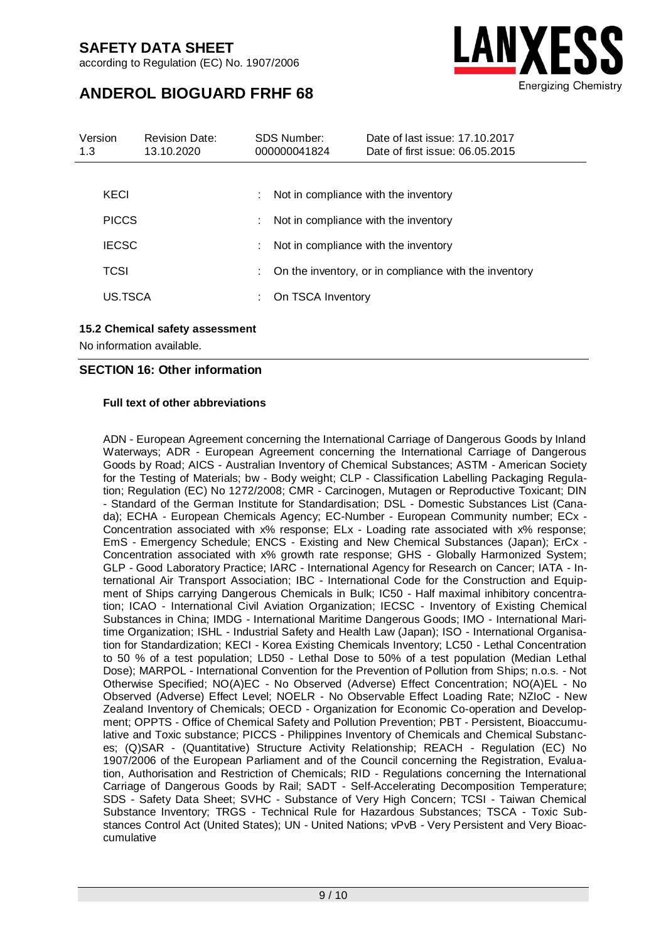according to Regulation (EC) No. 1907/2006



## **ANDEROL BIOGUARD FRHF 68**

| Version<br>1.3 | <b>Revision Date:</b><br>13.10.2020 |    | SDS Number:<br>000000041824          | Date of last issue: 17, 10, 2017<br>Date of first issue: 06.05.2015 |
|----------------|-------------------------------------|----|--------------------------------------|---------------------------------------------------------------------|
|                |                                     |    |                                      |                                                                     |
| KECI           |                                     |    | Not in compliance with the inventory |                                                                     |
| <b>PICCS</b>   |                                     | ÷. |                                      | Not in compliance with the inventory                                |
| <b>IECSC</b>   |                                     | ÷. | Not in compliance with the inventory |                                                                     |
| TCSI           |                                     | ÷. |                                      | On the inventory, or in compliance with the inventory               |
| US.TSCA        |                                     |    | On TSCA Inventory                    |                                                                     |
|                |                                     |    |                                      |                                                                     |

#### **15.2 Chemical safety assessment**

No information available.

#### **SECTION 16: Other information**

#### **Full text of other abbreviations**

ADN - European Agreement concerning the International Carriage of Dangerous Goods by Inland Waterways; ADR - European Agreement concerning the International Carriage of Dangerous Goods by Road; AICS - Australian Inventory of Chemical Substances; ASTM - American Society for the Testing of Materials; bw - Body weight; CLP - Classification Labelling Packaging Regulation; Regulation (EC) No 1272/2008; CMR - Carcinogen, Mutagen or Reproductive Toxicant; DIN - Standard of the German Institute for Standardisation; DSL - Domestic Substances List (Canada); ECHA - European Chemicals Agency; EC-Number - European Community number; ECx - Concentration associated with x% response; ELx - Loading rate associated with x% response; EmS - Emergency Schedule; ENCS - Existing and New Chemical Substances (Japan); ErCx - Concentration associated with x% growth rate response; GHS - Globally Harmonized System; GLP - Good Laboratory Practice; IARC - International Agency for Research on Cancer; IATA - International Air Transport Association; IBC - International Code for the Construction and Equipment of Ships carrying Dangerous Chemicals in Bulk; IC50 - Half maximal inhibitory concentration; ICAO - International Civil Aviation Organization; IECSC - Inventory of Existing Chemical Substances in China; IMDG - International Maritime Dangerous Goods; IMO - International Maritime Organization; ISHL - Industrial Safety and Health Law (Japan); ISO - International Organisation for Standardization; KECI - Korea Existing Chemicals Inventory; LC50 - Lethal Concentration to 50 % of a test population; LD50 - Lethal Dose to 50% of a test population (Median Lethal Dose); MARPOL - International Convention for the Prevention of Pollution from Ships; n.o.s. - Not Otherwise Specified; NO(A)EC - No Observed (Adverse) Effect Concentration; NO(A)EL - No Observed (Adverse) Effect Level; NOELR - No Observable Effect Loading Rate; NZIoC - New Zealand Inventory of Chemicals; OECD - Organization for Economic Co-operation and Development; OPPTS - Office of Chemical Safety and Pollution Prevention; PBT - Persistent, Bioaccumulative and Toxic substance; PICCS - Philippines Inventory of Chemicals and Chemical Substances; (Q)SAR - (Quantitative) Structure Activity Relationship; REACH - Regulation (EC) No 1907/2006 of the European Parliament and of the Council concerning the Registration, Evaluation, Authorisation and Restriction of Chemicals; RID - Regulations concerning the International Carriage of Dangerous Goods by Rail; SADT - Self-Accelerating Decomposition Temperature; SDS - Safety Data Sheet; SVHC - Substance of Very High Concern; TCSI - Taiwan Chemical Substance Inventory; TRGS - Technical Rule for Hazardous Substances; TSCA - Toxic Substances Control Act (United States); UN - United Nations; vPvB - Very Persistent and Very Bioaccumulative